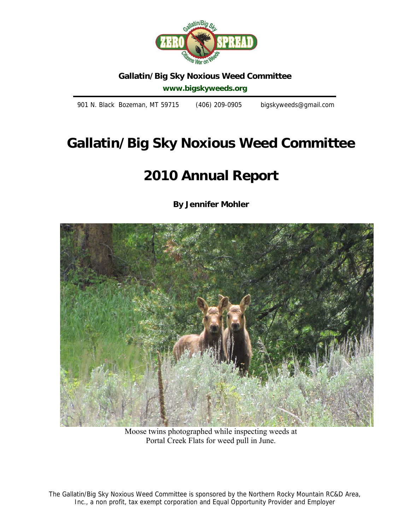

# **Gallatin/Big Sky Noxious Weed Committee**

**www.bigskyweeds.org** 

901 N. Black Bozeman, MT 59715 (406) 209-0905 bigskyweeds@gmail.com

# **Gallatin/Big Sky Noxious Weed Committee**

# **2010 Annual Report**

**By Jennifer Mohler** 



Moose twins photographed while inspecting weeds at Portal Creek Flats for weed pull in June.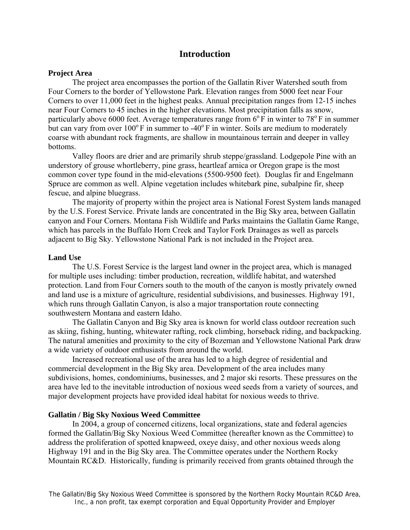## **Introduction**

#### **Project Area**

The project area encompasses the portion of the Gallatin River Watershed south from Four Corners to the border of Yellowstone Park. Elevation ranges from 5000 feet near Four Corners to over 11,000 feet in the highest peaks. Annual precipitation ranges from 12-15 inches near Four Corners to 45 inches in the higher elevations. Most precipitation falls as snow, particularly above 6000 feet. Average temperatures range from  $6^{\circ}$  F in winter to 78 $^{\circ}$  F in summer but can vary from over  $100^{\circ}$  F in summer to -40<sup>°</sup> F in winter. Soils are medium to moderately coarse with abundant rock fragments, are shallow in mountainous terrain and deeper in valley bottoms.

Valley floors are drier and are primarily shrub steppe/grassland. Lodgepole Pine with an understory of grouse whortleberry, pine grass, heartleaf arnica or Oregon grape is the most common cover type found in the mid-elevations (5500-9500 feet). Douglas fir and Engelmann Spruce are common as well. Alpine vegetation includes whitebark pine, subalpine fir, sheep fescue, and alpine bluegrass.

The majority of property within the project area is National Forest System lands managed by the U.S. Forest Service. Private lands are concentrated in the Big Sky area, between Gallatin canyon and Four Corners. Montana Fish Wildlife and Parks maintains the Gallatin Game Range, which has parcels in the Buffalo Horn Creek and Taylor Fork Drainages as well as parcels adjacent to Big Sky. Yellowstone National Park is not included in the Project area.

#### **Land Use**

The U.S. Forest Service is the largest land owner in the project area, which is managed for multiple uses including: timber production, recreation, wildlife habitat, and watershed protection. Land from Four Corners south to the mouth of the canyon is mostly privately owned and land use is a mixture of agriculture, residential subdivisions, and businesses. Highway 191, which runs through Gallatin Canyon, is also a major transportation route connecting southwestern Montana and eastern Idaho.

The Gallatin Canyon and Big Sky area is known for world class outdoor recreation such as skiing, fishing, hunting, whitewater rafting, rock climbing, horseback riding, and backpacking. The natural amenities and proximity to the city of Bozeman and Yellowstone National Park draw a wide variety of outdoor enthusiasts from around the world.

Increased recreational use of the area has led to a high degree of residential and commercial development in the Big Sky area. Development of the area includes many subdivisions, homes, condominiums, businesses, and 2 major ski resorts. These pressures on the area have led to the inevitable introduction of noxious weed seeds from a variety of sources, and major development projects have provided ideal habitat for noxious weeds to thrive.

#### **Gallatin / Big Sky Noxious Weed Committee**

In 2004, a group of concerned citizens, local organizations, state and federal agencies formed the Gallatin/Big Sky Noxious Weed Committee (hereafter known as the Committee) to address the proliferation of spotted knapweed, oxeye daisy, and other noxious weeds along Highway 191 and in the Big Sky area. The Committee operates under the Northern Rocky Mountain RC&D. Historically, funding is primarily received from grants obtained through the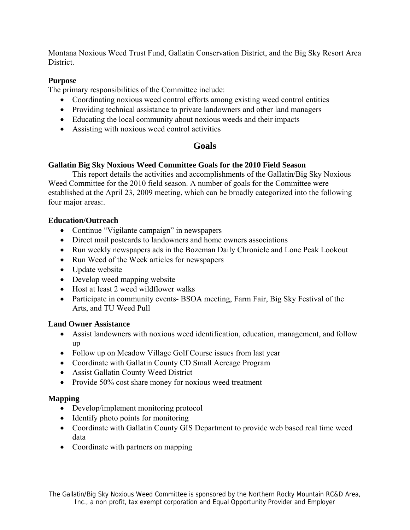Montana Noxious Weed Trust Fund, Gallatin Conservation District, and the Big Sky Resort Area District.

## **Purpose**

The primary responsibilities of the Committee include:

- Coordinating noxious weed control efforts among existing weed control entities
- Providing technical assistance to private landowners and other land managers
- Educating the local community about noxious weeds and their impacts
- Assisting with noxious weed control activities

## **Goals**

## **Gallatin Big Sky Noxious Weed Committee Goals for the 2010 Field Season**

This report details the activities and accomplishments of the Gallatin/Big Sky Noxious Weed Committee for the 2010 field season. A number of goals for the Committee were established at the April 23, 2009 meeting, which can be broadly categorized into the following four major areas:.

## **Education/Outreach**

- Continue "Vigilante campaign" in newspapers
- Direct mail postcards to landowners and home owners associations
- Run weekly newspapers ads in the Bozeman Daily Chronicle and Lone Peak Lookout
- Run Weed of the Week articles for newspapers
- Update website
- Develop weed mapping website
- Host at least 2 weed wildflower walks
- Participate in community events- BSOA meeting, Farm Fair, Big Sky Festival of the Arts, and TU Weed Pull

## **Land Owner Assistance**

- Assist landowners with noxious weed identification, education, management, and follow up
- Follow up on Meadow Village Golf Course issues from last year
- Coordinate with Gallatin County CD Small Acreage Program
- Assist Gallatin County Weed District
- Provide 50% cost share money for noxious weed treatment

## **Mapping**

- Develop/implement monitoring protocol
- Identify photo points for monitoring
- Coordinate with Gallatin County GIS Department to provide web based real time weed data
- Coordinate with partners on mapping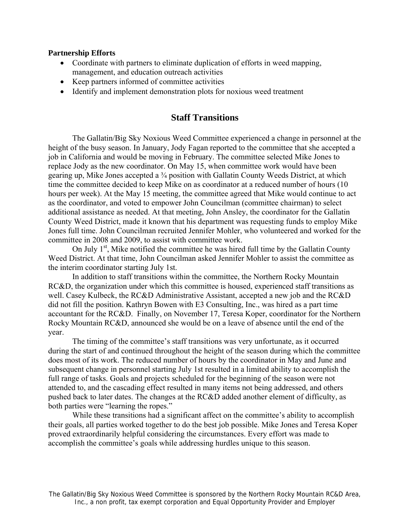#### **Partnership Efforts**

- Coordinate with partners to eliminate duplication of efforts in weed mapping, management, and education outreach activities
- Keep partners informed of committee activities
- Identify and implement demonstration plots for noxious weed treatment

## **Staff Transitions**

The Gallatin/Big Sky Noxious Weed Committee experienced a change in personnel at the height of the busy season. In January, Jody Fagan reported to the committee that she accepted a job in California and would be moving in February. The committee selected Mike Jones to replace Jody as the new coordinator. On May 15, when committee work would have been gearing up, Mike Jones accepted a ¾ position with Gallatin County Weeds District, at which time the committee decided to keep Mike on as coordinator at a reduced number of hours (10 hours per week). At the May 15 meeting, the committee agreed that Mike would continue to act as the coordinator, and voted to empower John Councilman (committee chairman) to select additional assistance as needed. At that meeting, John Ansley, the coordinator for the Gallatin County Weed District, made it known that his department was requesting funds to employ Mike Jones full time. John Councilman recruited Jennifer Mohler, who volunteered and worked for the committee in 2008 and 2009, to assist with committee work.

On July  $1<sup>st</sup>$ , Mike notified the committee he was hired full time by the Gallatin County Weed District. At that time, John Councilman asked Jennifer Mohler to assist the committee as the interim coordinator starting July 1st.

In addition to staff transitions within the committee, the Northern Rocky Mountain RC&D, the organization under which this committee is housed, experienced staff transitions as well. Casey Kulbeck, the RC&D Administrative Assistant, accepted a new job and the RC&D did not fill the position. Kathryn Bowen with E3 Consulting, Inc., was hired as a part time accountant for the RC&D. Finally, on November 17, Teresa Koper, coordinator for the Northern Rocky Mountain RC&D, announced she would be on a leave of absence until the end of the year.

The timing of the committee's staff transitions was very unfortunate, as it occurred during the start of and continued throughout the height of the season during which the committee does most of its work. The reduced number of hours by the coordinator in May and June and subsequent change in personnel starting July 1st resulted in a limited ability to accomplish the full range of tasks. Goals and projects scheduled for the beginning of the season were not attended to, and the cascading effect resulted in many items not being addressed, and others pushed back to later dates. The changes at the RC&D added another element of difficulty, as both parties were "learning the ropes."

While these transitions had a significant affect on the committee's ability to accomplish their goals, all parties worked together to do the best job possible. Mike Jones and Teresa Koper proved extraordinarily helpful considering the circumstances. Every effort was made to accomplish the committee's goals while addressing hurdles unique to this season.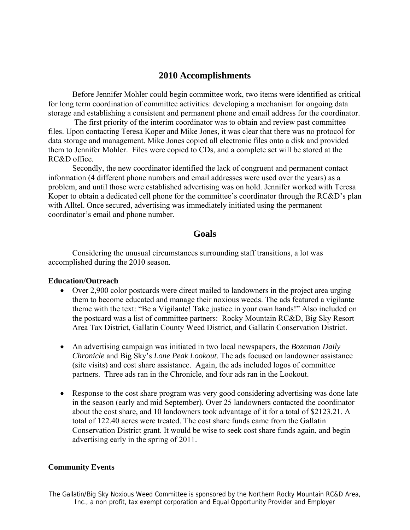## **2010 Accomplishments**

Before Jennifer Mohler could begin committee work, two items were identified as critical for long term coordination of committee activities: developing a mechanism for ongoing data storage and establishing a consistent and permanent phone and email address for the coordinator.

 The first priority of the interim coordinator was to obtain and review past committee files. Upon contacting Teresa Koper and Mike Jones, it was clear that there was no protocol for data storage and management. Mike Jones copied all electronic files onto a disk and provided them to Jennifer Mohler. Files were copied to CDs, and a complete set will be stored at the RC&D office.

Secondly, the new coordinator identified the lack of congruent and permanent contact information (4 different phone numbers and email addresses were used over the years) as a problem, and until those were established advertising was on hold. Jennifer worked with Teresa Koper to obtain a dedicated cell phone for the committee's coordinator through the RC&D's plan with Alltel. Once secured, advertising was immediately initiated using the permanent coordinator's email and phone number.

## **Goals**

Considering the unusual circumstances surrounding staff transitions, a lot was accomplished during the 2010 season.

#### **Education/Outreach**

- Over 2,900 color postcards were direct mailed to landowners in the project area urging them to become educated and manage their noxious weeds. The ads featured a vigilante theme with the text: "Be a Vigilante! Take justice in your own hands!" Also included on the postcard was a list of committee partners: Rocky Mountain RC&D, Big Sky Resort Area Tax District, Gallatin County Weed District, and Gallatin Conservation District.
- An advertising campaign was initiated in two local newspapers, the *Bozeman Daily Chronicle* and Big Sky's *Lone Peak Lookout*. The ads focused on landowner assistance (site visits) and cost share assistance. Again, the ads included logos of committee partners. Three ads ran in the Chronicle, and four ads ran in the Lookout.
- Response to the cost share program was very good considering advertising was done late in the season (early and mid September). Over 25 landowners contacted the coordinator about the cost share, and 10 landowners took advantage of it for a total of \$2123.21. A total of 122.40 acres were treated. The cost share funds came from the Gallatin Conservation District grant. It would be wise to seek cost share funds again, and begin advertising early in the spring of 2011.

#### **Community Events**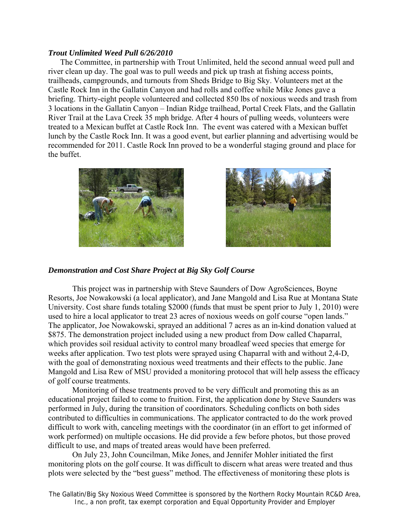#### *Trout Unlimited Weed Pull 6/26/2010*

The Committee, in partnership with Trout Unlimited, held the second annual weed pull and river clean up day. The goal was to pull weeds and pick up trash at fishing access points, trailheads, campgrounds, and turnouts from Sheds Bridge to Big Sky. Volunteers met at the Castle Rock Inn in the Gallatin Canyon and had rolls and coffee while Mike Jones gave a briefing. Thirty-eight people volunteered and collected 850 lbs of noxious weeds and trash from 3 locations in the Gallatin Canyon – Indian Ridge trailhead, Portal Creek Flats, and the Gallatin River Trail at the Lava Creek 35 mph bridge. After 4 hours of pulling weeds, volunteers were treated to a Mexican buffet at Castle Rock Inn. The event was catered with a Mexican buffet lunch by the Castle Rock Inn. It was a good event, but earlier planning and advertising would be recommended for 2011. Castle Rock Inn proved to be a wonderful staging ground and place for the buffet.





#### *Demonstration and Cost Share Project at Big Sky Golf Course*

This project was in partnership with Steve Saunders of Dow AgroSciences, Boyne Resorts, Joe Nowakowski (a local applicator), and Jane Mangold and Lisa Rue at Montana State University. Cost share funds totaling \$2000 (funds that must be spent prior to July 1, 2010) were used to hire a local applicator to treat 23 acres of noxious weeds on golf course "open lands." The applicator, Joe Nowakowski, sprayed an additional 7 acres as an in-kind donation valued at \$875. The demonstration project included using a new product from Dow called Chaparral, which provides soil residual activity to control many broadleaf weed species that emerge for weeks after application. Two test plots were sprayed using Chaparral with and without 2,4-D, with the goal of demonstrating noxious weed treatments and their effects to the public. Jane Mangold and Lisa Rew of MSU provided a monitoring protocol that will help assess the efficacy of golf course treatments.

Monitoring of these treatments proved to be very difficult and promoting this as an educational project failed to come to fruition. First, the application done by Steve Saunders was performed in July, during the transition of coordinators. Scheduling conflicts on both sides contributed to difficulties in communications. The applicator contracted to do the work proved difficult to work with, canceling meetings with the coordinator (in an effort to get informed of work performed) on multiple occasions. He did provide a few before photos, but those proved difficult to use, and maps of treated areas would have been preferred.

On July 23, John Councilman, Mike Jones, and Jennifer Mohler initiated the first monitoring plots on the golf course. It was difficult to discern what areas were treated and thus plots were selected by the "best guess" method. The effectiveness of monitoring these plots is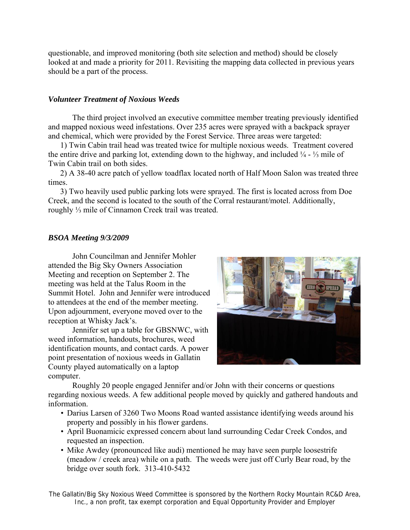questionable, and improved monitoring (both site selection and method) should be closely looked at and made a priority for 2011. Revisiting the mapping data collected in previous years should be a part of the process.

## *Volunteer Treatment of Noxious Weeds*

The third project involved an executive committee member treating previously identified and mapped noxious weed infestations. Over 235 acres were sprayed with a backpack sprayer and chemical, which were provided by the Forest Service. Three areas were targeted:

1) Twin Cabin trail head was treated twice for multiple noxious weeds. Treatment covered the entire drive and parking lot, extending down to the highway, and included ¼ - ⅓ mile of Twin Cabin trail on both sides.

2) A 38-40 acre patch of yellow toadflax located north of Half Moon Salon was treated three times.

3) Two heavily used public parking lots were sprayed. The first is located across from Doe Creek, and the second is located to the south of the Corral restaurant/motel. Additionally, roughly ⅓ mile of Cinnamon Creek trail was treated.

## *BSOA Meeting 9/3/2009*

John Councilman and Jennifer Mohler attended the Big Sky Owners Association Meeting and reception on September 2. The meeting was held at the Talus Room in the Summit Hotel. John and Jennifer were introduced to attendees at the end of the member meeting. Upon adjournment, everyone moved over to the reception at Whisky Jack's.

Jennifer set up a table for GBSNWC, with weed information, handouts, brochures, weed identification mounts, and contact cards. A power point presentation of noxious weeds in Gallatin County played automatically on a laptop computer.



Roughly 20 people engaged Jennifer and/or John with their concerns or questions regarding noxious weeds. A few additional people moved by quickly and gathered handouts and information.

- Darius Larsen of 3260 Two Moons Road wanted assistance identifying weeds around his property and possibly in his flower gardens.
- April Buonamicic expressed concern about land surrounding Cedar Creek Condos, and requested an inspection.
- Mike Awdey (pronounced like audi) mentioned he may have seen purple loosestrife (meadow / creek area) while on a path. The weeds were just off Curly Bear road, by the bridge over south fork. 313-410-5432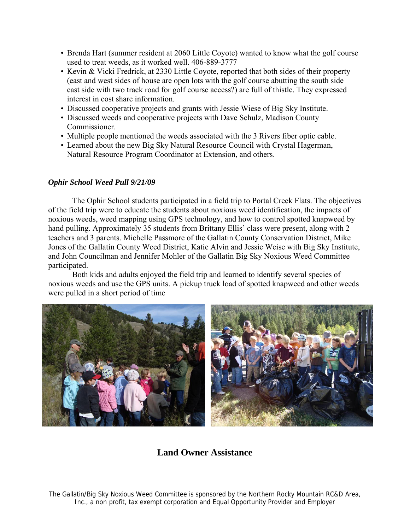- Brenda Hart (summer resident at 2060 Little Coyote) wanted to know what the golf course used to treat weeds, as it worked well. 406-889-3777
- Kevin & Vicki Fredrick, at 2330 Little Coyote, reported that both sides of their property (east and west sides of house are open lots with the golf course abutting the south side – east side with two track road for golf course access?) are full of thistle. They expressed interest in cost share information.
- Discussed cooperative projects and grants with Jessie Wiese of Big Sky Institute.
- Discussed weeds and cooperative projects with Dave Schulz, Madison County Commissioner.
- Multiple people mentioned the weeds associated with the 3 Rivers fiber optic cable.
- Learned about the new Big Sky Natural Resource Council with Crystal Hagerman, Natural Resource Program Coordinator at Extension, and others.

## *Ophir School Weed Pull 9/21/09*

The Ophir School students participated in a field trip to Portal Creek Flats. The objectives of the field trip were to educate the students about noxious weed identification, the impacts of noxious weeds, weed mapping using GPS technology, and how to control spotted knapweed by hand pulling. Approximately 35 students from Brittany Ellis' class were present, along with 2 teachers and 3 parents. Michelle Passmore of the Gallatin County Conservation District, Mike Jones of the Gallatin County Weed District, Katie Alvin and Jessie Weise with Big Sky Institute, and John Councilman and Jennifer Mohler of the Gallatin Big Sky Noxious Weed Committee participated.

Both kids and adults enjoyed the field trip and learned to identify several species of noxious weeds and use the GPS units. A pickup truck load of spotted knapweed and other weeds were pulled in a short period of time



# **Land Owner Assistance**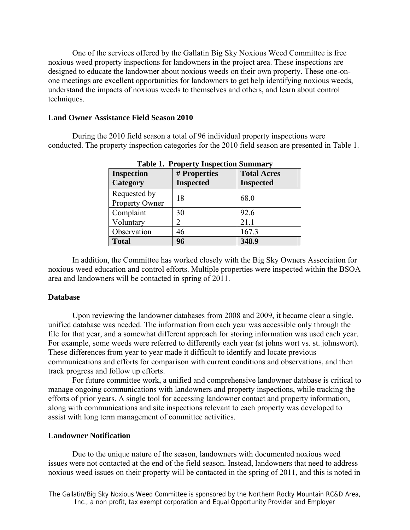One of the services offered by the Gallatin Big Sky Noxious Weed Committee is free noxious weed property inspections for landowners in the project area. These inspections are designed to educate the landowner about noxious weeds on their own property. These one-onone meetings are excellent opportunities for landowners to get help identifying noxious weeds, understand the impacts of noxious weeds to themselves and others, and learn about control techniques.

#### **Land Owner Assistance Field Season 2010**

During the 2010 field season a total of 96 individual property inspections were conducted. The property inspection categories for the 2010 field season are presented in Table 1.

| <b>Inspection</b><br>Category  | # Properties<br><b>Inspected</b> | <b>Total Acres</b><br><b>Inspected</b> |
|--------------------------------|----------------------------------|----------------------------------------|
| Requested by<br>Property Owner | 18                               | 68.0                                   |
| Complaint                      | 30                               | 92.6                                   |
| Voluntary                      | 2                                | 21.1                                   |
| Observation                    | 46                               | 167.3                                  |
| <b>Total</b>                   | 96                               | 348.9                                  |

| <b>Table 1. Property Inspection Summary</b> |
|---------------------------------------------|
|---------------------------------------------|

In addition, the Committee has worked closely with the Big Sky Owners Association for noxious weed education and control efforts. Multiple properties were inspected within the BSOA area and landowners will be contacted in spring of 2011.

#### **Database**

 Upon reviewing the landowner databases from 2008 and 2009, it became clear a single, unified database was needed. The information from each year was accessible only through the file for that year, and a somewhat different approach for storing information was used each year. For example, some weeds were referred to differently each year (st johns wort vs. st. johnswort). These differences from year to year made it difficult to identify and locate previous communications and efforts for comparison with current conditions and observations, and then track progress and follow up efforts.

For future committee work, a unified and comprehensive landowner database is critical to manage ongoing communications with landowners and property inspections, while tracking the efforts of prior years. A single tool for accessing landowner contact and property information, along with communications and site inspections relevant to each property was developed to assist with long term management of committee activities.

#### **Landowner Notification**

Due to the unique nature of the season, landowners with documented noxious weed issues were not contacted at the end of the field season. Instead, landowners that need to address noxious weed issues on their property will be contacted in the spring of 2011, and this is noted in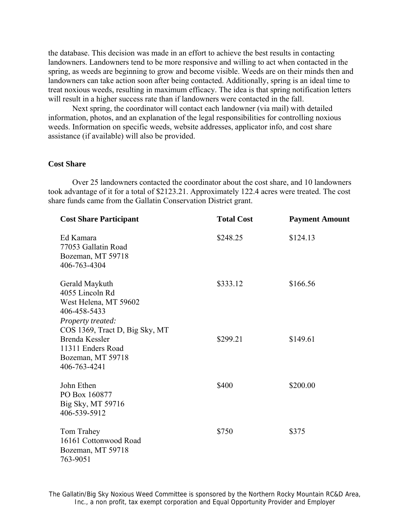the database. This decision was made in an effort to achieve the best results in contacting landowners. Landowners tend to be more responsive and willing to act when contacted in the spring, as weeds are beginning to grow and become visible. Weeds are on their minds then and landowners can take action soon after being contacted. Additionally, spring is an ideal time to treat noxious weeds, resulting in maximum efficacy. The idea is that spring notification letters will result in a higher success rate than if landowners were contacted in the fall.

 Next spring, the coordinator will contact each landowner (via mail) with detailed information, photos, and an explanation of the legal responsibilities for controlling noxious weeds. Information on specific weeds, website addresses, applicator info, and cost share assistance (if available) will also be provided.

#### **Cost Share**

Over 25 landowners contacted the coordinator about the cost share, and 10 landowners took advantage of it for a total of \$2123.21. Approximately 122.4 acres were treated. The cost share funds came from the Gallatin Conservation District grant.

| <b>Cost Share Participant</b>                                                                                                     | <b>Total Cost</b> | <b>Payment Amount</b> |
|-----------------------------------------------------------------------------------------------------------------------------------|-------------------|-----------------------|
| Ed Kamara<br>77053 Gallatin Road<br>Bozeman, MT 59718<br>406-763-4304                                                             | \$248.25          | \$124.13              |
| Gerald Maykuth<br>4055 Lincoln Rd<br>West Helena, MT 59602<br>406-458-5433<br>Property treated:<br>COS 1369, Tract D, Big Sky, MT | \$333.12          | \$166.56              |
| <b>Brenda Kessler</b><br>11311 Enders Road<br>Bozeman, MT 59718<br>406-763-4241                                                   | \$299.21          | \$149.61              |
| John Ethen<br>PO Box 160877<br>Big Sky, MT 59716<br>406-539-5912                                                                  | \$400             | \$200.00              |
| Tom Trahey<br>16161 Cottonwood Road<br>Bozeman, MT 59718<br>763-9051                                                              | \$750             | \$375                 |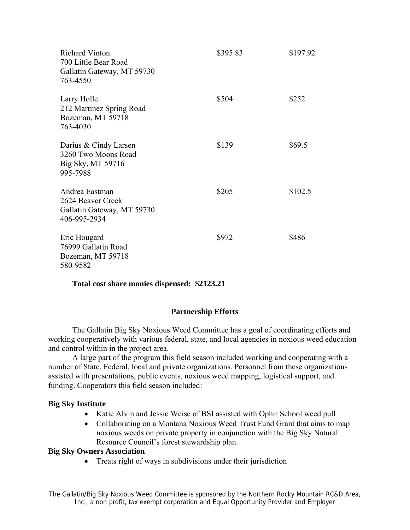| <b>Richard Vinton</b><br>700 Little Bear Road<br>Gallatin Gateway, MT 59730<br>763-4550 | \$395.83 | \$197.92 |
|-----------------------------------------------------------------------------------------|----------|----------|
| Larry Holle<br>212 Martinez Spring Road<br>Bozeman, MT 59718<br>763-4030                | \$504    | \$252    |
| Darius & Cindy Larsen<br>3260 Two Moons Road<br>Big Sky, MT 59716<br>995-7988           | \$139    | \$69.5   |
| Andrea Eastman<br>2624 Beaver Creek<br>Gallatin Gateway, MT 59730<br>406-995-2934       | \$205    | \$102.5  |
| Eric Hougard<br>76999 Gallatin Road<br>Bozeman, MT 59718<br>580-9582                    | \$972    | \$486    |

#### **Total cost share monies dispensed: \$2123.21**

#### **Partnership Efforts**

The Gallatin Big Sky Noxious Weed Committee has a goal of coordinating efforts and working cooperatively with various federal, state, and local agencies in noxious weed education and control within in the project area.

A large part of the program this field season included working and cooperating with a number of State, Federal, local and private organizations. Personnel from these organizations assisted with presentations, public events, noxious weed mapping, logistical support, and funding. Cooperators this field season included:

#### **Big Sky Institute**

- Katie Alvin and Jessie Weise of BSI assisted with Ophir School weed pull
- Collaborating on a Montana Noxious Weed Trust Fund Grant that aims to map noxious weeds on private property in conjunction with the Big Sky Natural Resource Council's forest stewardship plan.

#### **Big Sky Owners Association**

• Treats right of ways in subdivisions under their jurisdiction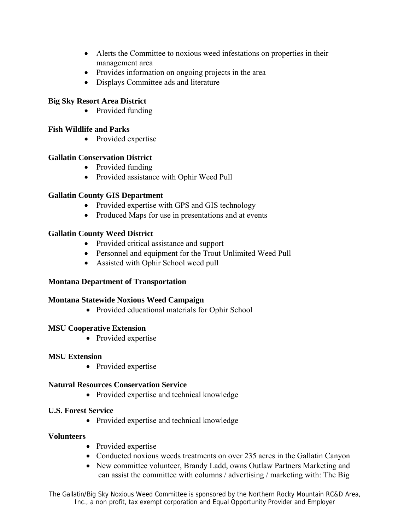- Alerts the Committee to noxious weed infestations on properties in their management area
- Provides information on ongoing projects in the area
- Displays Committee ads and literature

## **Big Sky Resort Area District**

• Provided funding

## **Fish Wildlife and Parks**

• Provided expertise

## **Gallatin Conservation District**

- Provided funding
- Provided assistance with Ophir Weed Pull

## **Gallatin County GIS Department**

- Provided expertise with GPS and GIS technology
- Produced Maps for use in presentations and at events

## **Gallatin County Weed District**

- Provided critical assistance and support
- Personnel and equipment for the Trout Unlimited Weed Pull
- Assisted with Ophir School weed pull

## **Montana Department of Transportation**

## **Montana Statewide Noxious Weed Campaign**

• Provided educational materials for Ophir School

## **MSU Cooperative Extension**

• Provided expertise

## **MSU Extension**

• Provided expertise

## **Natural Resources Conservation Service**

• Provided expertise and technical knowledge

## **U.S. Forest Service**

• Provided expertise and technical knowledge

## **Volunteers**

- Provided expertise
- Conducted noxious weeds treatments on over 235 acres in the Gallatin Canyon
- New committee volunteer, Brandy Ladd, owns Outlaw Partners Marketing and can assist the committee with columns / advertising / marketing with: The Big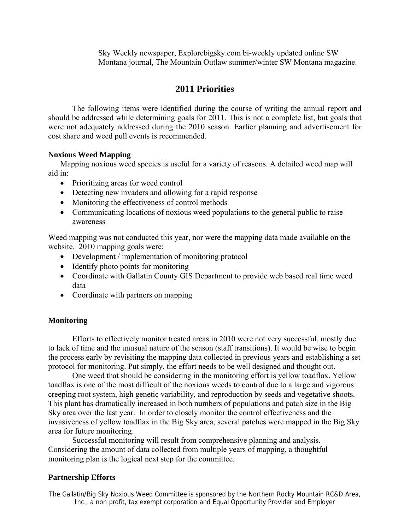Sky Weekly newspaper, Explorebigsky.com bi-weekly updated online SW Montana journal, The Mountain Outlaw summer/winter SW Montana magazine.

## **2011 Priorities**

The following items were identified during the course of writing the annual report and should be addressed while determining goals for 2011. This is not a complete list, but goals that were not adequately addressed during the 2010 season. Earlier planning and advertisement for cost share and weed pull events is recommended.

## **Noxious Weed Mapping**

Mapping noxious weed species is useful for a variety of reasons. A detailed weed map will aid in:

- Prioritizing areas for weed control
- Detecting new invaders and allowing for a rapid response
- Monitoring the effectiveness of control methods
- Communicating locations of noxious weed populations to the general public to raise awareness

Weed mapping was not conducted this year, nor were the mapping data made available on the website. 2010 mapping goals were:

- Development / implementation of monitoring protocol
- Identify photo points for monitoring
- Coordinate with Gallatin County GIS Department to provide web based real time weed data
- Coordinate with partners on mapping

## **Monitoring**

Efforts to effectively monitor treated areas in 2010 were not very successful, mostly due to lack of time and the unusual nature of the season (staff transitions). It would be wise to begin the process early by revisiting the mapping data collected in previous years and establishing a set protocol for monitoring. Put simply, the effort needs to be well designed and thought out.

One weed that should be considering in the monitoring effort is yellow toadflax. Yellow toadflax is one of the most difficult of the noxious weeds to control due to a large and vigorous creeping root system, high genetic variability, and reproduction by seeds and vegetative shoots. This plant has dramatically increased in both numbers of populations and patch size in the Big Sky area over the last year. In order to closely monitor the control effectiveness and the invasiveness of yellow toadflax in the Big Sky area, several patches were mapped in the Big Sky area for future monitoring.

Successful monitoring will result from comprehensive planning and analysis. Considering the amount of data collected from multiple years of mapping, a thoughtful monitoring plan is the logical next step for the committee.

#### **Partnership Efforts**